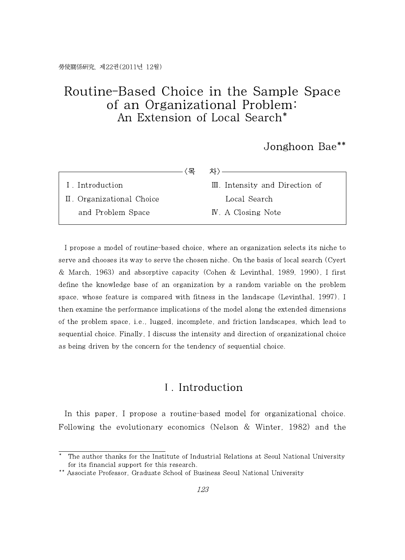# Routine-Based Choice in the Sample Space of an Organizational Problem: An Extension of Local Search\*

Jonghoon Bae\*\*

|                           | 차›                              |
|---------------------------|---------------------------------|
| I. Introduction           | III. Intensity and Direction of |
| II. Organizational Choice | Local Search                    |
| and Problem Space         | IV. A Closing Note              |

I propose a model of routine-based choice, where an organization selects its niche to serve and chooses its way to serve the chosen niche. On the basis oflocal search (Cyert & March, 1963) and absorptive capacity (Cohen & Levinthal, 1989, 1990), I first define the knowledge base of an organization by a random variable on the problem space, whose feature is compared with fitness in the landscape (Levinthal, 1997). I then examine the performance implications of the model along the extended dimensions of the problem space, i.e., lugged, incomplete, and friction landscapes, which lead to sequential choice. Finally, I discuss the intensity and direction of organizational choice as being driven by the concern for the tendency of sequential choice.

### Ⅰ. Introduction

In this paper, I propose a routine-based model for organizational choice. Following the evolutionary economics (Nelson & Winter,1982) and the

<sup>\*</sup> The author thanks for the Institute of Industrial Relations at Seoul National University for its financial support for this research.

<sup>\*\*</sup> Associate Professor, Graduate School of Business Seoul National University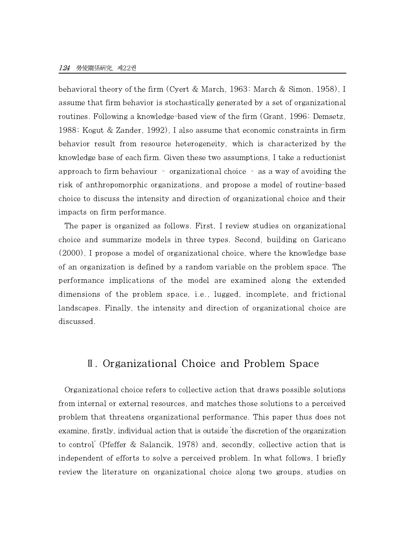behavioral theory of the firm (Cyert & March, 1963; March & Simon, 1958), I assume that firm behavior is stochastically generated by a set of organizational routines. Following a knowledge-based view of the firm (Grant, 1996; Demsetz, 1988; Kogut & Zander, 1992), I also assume that economic constraints in firm behavior result from resource heterogeneity, which is characterized by the knowledge base of each firm. Given these two assumptions, I take a reductionist approach to firm behaviour – organizational choice – as a way of avoiding the risk of anthropomorphic organizations, and propose a model of routine-based choice to discuss the intensity and direction of organizational choice and their impacts on firm performance.

The paper is organized as follows. First, I review studies on organizational choice and summarize models in three types. Second, building on Garicano (2000), I propose a model of organizational choice, where the knowledge base of an organization is defined by a random variable on the problem space. The performance implications of the model are examined along the extended dimensions of the problem space, i.e., lugged, incomplete, and frictional landscapes. Finally, the intensity and direction of organizational choice are discussed.

## Ⅱ. Organizational Choice and Problem Space

Organizational choice refers to collective action that draws possible solutions from internal or external resources, and matches those solutions to a perceived problem that threatens organizational performance. This paper thus does not examine, firstly, individual action that is outside 'the discretion of the organization to control' (Pfeffer & Salancik, 1978) and, secondly, collective action that is independent of efforts to solve a perceived problem. In what follows, I briefly review the literature on organizational choice along two groups, studies on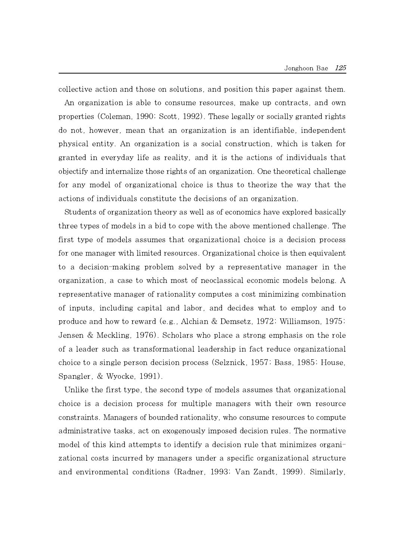collective action and those on solutions, and position this paper against them. An organization is able to consume resources, make up contracts, and own properties (Coleman, 1990; Scott, 1992). These legally or socially granted rights do not, however, mean that an organization is an identifiable, independent physical entity. An organization is a social construction, which is taken for granted in everyday life as reality, and it is the actions of individuals that objectify and internalize those rights of an organization. One theoretical challenge for any model of organizational choice is thus to theorize the way that the actions of individuals constitute the decisions of an organization.

Students of organization theory as well as of economics have explored basically three types of models in a bid to cope with the above mentioned challenge. The first type of models assumes that organizational choice is a decision process for one manager with limited resources. Organizational choice is then equivalent to a decision-making problem solved by a representative manager in the organization, a case to which most of neoclassical economic models belong. A representative manager of rationality computes a cost minimizing combination of inputs, including capital and labor, and decides what to employ and to produce and how to reward (e.g., Alchian & Demsetz, 1972; Williamson, 1975; Jensen & Meckling, 1976). Scholars who place a strong emphasis on the role of a leader such as transformational leadership in fact reduce organizational choice to a single person decision process (Selznick, 1957; Bass, 1985; House, Spangler, & Wyocke,1991).

Unlike the first type, the second type of models assumes that organizational choice is a decision process for multiple managers with their own resource constraints. Managers of bounded rationality, who consume resources to compute administrative tasks, act on exogenously imposed decision rules. The normative model of this kind attempts to identify a decision rule that minimizes organizational costs incurred by managers under a specific organizational structure and environmental conditions (Radner, 1993; Van Zandt, 1999). Similarly,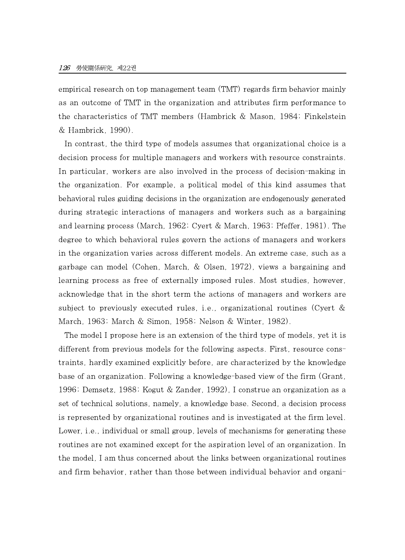empirical research on top management team (TMT) regards firm behavior mainly as an outcome of TMT in the organization and attributes firm performance to the characteristics of TMT members (Hambrick & Mason, 1984; Finkelstein & Hambrick, 1990).

In contrast, the third type of models assumes that organizational choice is a decision process for multiple managers and workers with resource constraints. In particular, workers are also involved in the process of decision-making in the organization. For example, a political model of this kind assumes that behavioral rules guiding decisions in the organization are endogenously generated during strategic interactions of managers and workers such as a bargaining and learning process (March, 1962; Cyert & March, 1963; Pfeffer, 1981). The degree to which behavioral rules govern the actions of managers and workers in the organization varies across different models. An extreme case, such as a garbage can model (Cohen, March, & Olsen, 1972), views a bargaining and learning process as free of externally imposed rules. Most studies, however, acknowledge that in the short term the actions of managers and workers are subject to previously executed rules, i.e., organizational routines (Cyert & March, 1963; March & Simon, 1958; Nelson & Winter, 1982).

The model I propose here is an extension of the third type of models, yet it is different from previous models for the following aspects. First, resource constraints, hardly examined explicitly before, are characterized by the knowledge base of an organization. Following a knowledge-based view of the firm (Grant, 1996; Demsetz, 1988; Kogut & Zander, 1992), I construe an organization as a set of technical solutions, namely, a knowledge base. Second, a decision process is represented by organizational routines and is investigated atthe firm level. Lower, i.e., individual or small group, levels of mechanisms for generating these routines are not examined except for the aspiration level of an organization. In the model, I am thus concerned about the links between organizational routines and firm behavior, rather than those between individual behavior and organi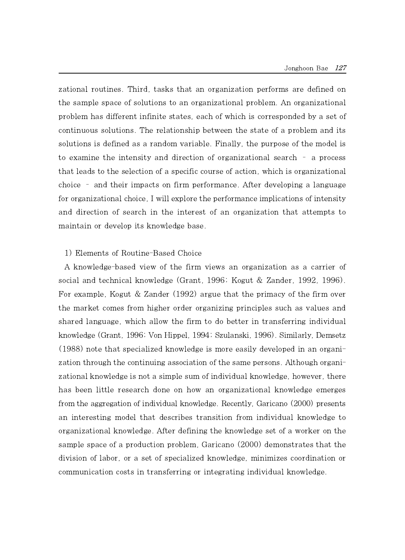zational routines. Third, tasks that an organization performs are defined on the sample space of solutions to an organizational problem. An organizational problem has different infinite states, each of which is corresponded by a set of continuous solutions. The relationship between the state of a problem andits solutions is defined as a random variable. Finally, the purpose of the model is to examine the intensity and direction of organizational search – a process that leads to the selection of a specific course of action, which is organizational choice – and their impacts on firm performance. After developing a language for organizational choice, I will explore the performance implications of intensity and direction of search in the interest of an organization that attempts to maintain or develop its knowledge base.

#### 1) Elements of Routine-Based Choice

A knowledge-based view of the firm views an organization as a carrier of social and technical knowledge (Grant, 1996; Kogut & Zander, 1992, 1996). For example, Kogut  $&$  Zander (1992) argue that the primacy of the firm over the market comes from higher order organizing principles such as values and shared language, which allow thefirm to do better in transferring individual knowledge (Grant, 1996; Von Hippel, 1994; Szulanski, 1996). Similarly, Demsetz (1988) note that specialized knowledge is more easily developed in an organization through the continuing association of the same persons. Although organizational knowledge is not a simple sum of individual knowledge, however, there has been little research done on how an organizational knowledge emerges from the aggregation of individual knowledge. Recently, Garicano (2000) presents an interesting model that describes transition from individual knowledge to organizational knowledge. After defining the knowledge set of a worker on the sample space of a production problem, Garicano (2000) demonstrates that the division of labor, or a set of specialized knowledge, minimizes coordination or communication costs in transferring or integrating individual knowledge.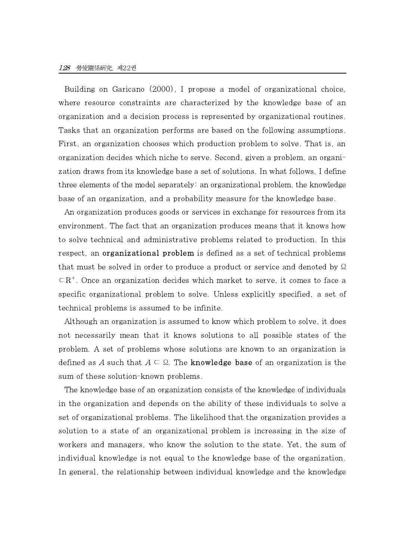Building on Garicano (2000), I propose a model of organizational choice, where resource constraints are characterized by the knowledge base of an organization and a decision process is represented by organizational routines. Tasks that an organization performs are based on the following assumptions. First, an organization chooses which production problem to solve. That is, an organization decides which niche to serve. Second, given a problem, an organization draws from its knowledge base a set of solutions. In what follows, I define three elements of the model separately: an organizational problem, the knowledge base of an organization, and a probability measure for the knowledge base.

An organization produces goods or services in exchange for resources from its environment. The fact that an organization produces means that it knows how to solve technical and administrative problems related to production. In this respect, an organizational problem is defined as a set of technical problems that must be solved in order to produce a product or service and denoted by Ω  $\subset$ R<sup>+</sup>. Once an organization decides which market to serve, it comes to face a specific organizational problem to solve. Unless explicitly specified, a set of technical problems is assumed to be infinite.

Although an organization is assumed to know which problem to solve, it does not necessarily mean that it knows solutions to all possible states of the problem. A set of problems whose solutions are known to an organization is defined as A such that  $A \subseteq \Omega$ . The **knowledge base** of an organization is the sum of these solution-known problems.

The knowledge base of an organization consists of the knowledge of individuals in the organization and depends on the ability of these individuals to solve a set of organizational problems. The likelihood that the organization provides a solution to a state of an organizational problem is increasing in the size of workers and managers, who know the solution to the state. Yet, the sum of individual knowledge is not equal to the knowledge base of the organization. In general, the relationship between individual knowledge and the knowledge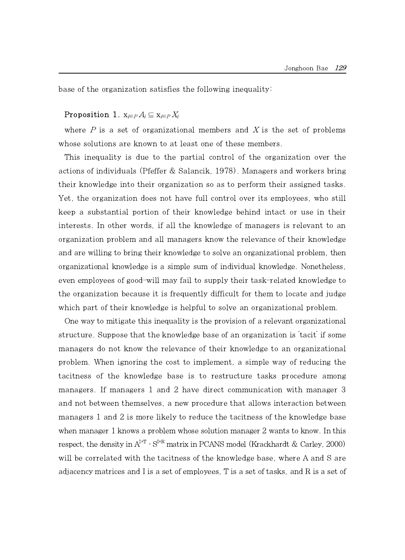base of the organization satisfies the following inequality:

#### Proposition 1.  $x_{i\in P} A_i \subseteq x_{i\in P} X_i$

where  $P$  is a set of organizational members and X is the set of problems whose solutions are known to at least one of these members.

This inequality is due to the partial control of the organization over the actions of individuals (Pfeffer & Salancik, 1978). Managers and workers bring their knowledge into their organization so as to perform their assigned tasks. Yet, the organization does not have full control over its employees, who still keep a substantial portion of their knowledge behind intact or use in their interests. In other words, if all the knowledge of managers is relevant to an organization problem and all managers know the relevance of their knowledge and are willing to bring their knowledge to solve an organizational problem, then organizational knowledge is a simple sum of individual knowledge. Nonetheless, even employees of good-will may fail to supply their task-related knowledge to the organization because it is frequently difficult for them to locate and judge which part of their knowledge is helpful to solve an organizational problem.

One way to mitigate this inequality is the provision of a relevant organizational structure. Suppose that the knowledge base of an organization is 'tacit' if some managers do not know the relevance of their knowledge to an organizational problem. When ignoring the cost to implement, a simple way of reducing the tacitness of the knowledge base is to restructure tasks procedure among managers. If managers 1 and 2 have direct communication with manager 3 and not between themselves, a new procedure that allows interaction between managers 1 and 2 is more likely to reduce the tacitness of the knowledge base when manager 1 knows a problem whose solution manager 2 wants to know. In this respect, the density in  $A^{IAT}\cdot S^{IXR}$  matrix in PCANS model (Krackhardt & Carley, 2000) will be correlated with the tacitness of the knowledge base, where A and S are adjacency matrices and I is a set of employees, T is a set of tasks, and R is a set of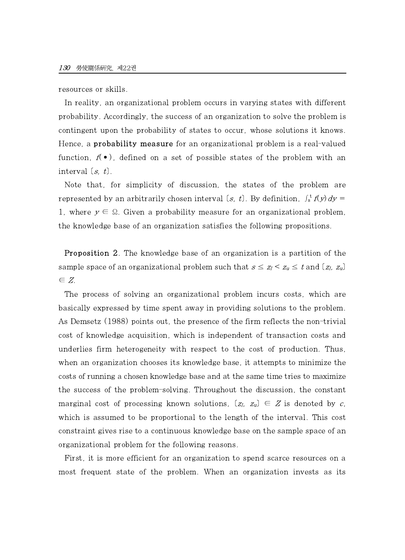resources or skills.

In reality, an organizational problem occurs in varying states with different probability. Accordingly, the success of an organization to solve the problem is contingent upon the probability of states to occur, whose solutions it knows. Hence, a **probability measure** for an organizational problem is a real-valued function,  $f(\bullet)$ , defined on a set of possible states of the problem with an interval [s, t].

Note that, for simplicity of discussion, the states of the problem are represented by an arbitrarily chosen interval  $(s, t)$ . By definition,  $\int_s^t f(y) dy =$ 1, where  $y \in \Omega$ . Given a probability measure for an organizational problem, the knowledge base of an organization satisfies the following propositions.

Proposition 2. The knowledge base of an organization is a partition of the sample space of an organizational problem such that  $s \le z_l < z_u \le t$  and  $(z_l, z_u)$ ∈ Z.

The process of solving an organizational problem incurs costs, which are basically expressed by time spent away in providing solutions to the problem. As Demsetz (1988) points out, the presence of the firm reflects the non-trivial cost of knowledge acquisition, which is independent of transaction costs and underlies firm heterogeneity with respect to the cost of production. Thus, when an organization chooses its knowledge base, it attempts to minimize the costs ofrunning a chosen knowledge base and at the same time tries to maximize the success of the problem-solving. Throughout the discussion, the constant marginal cost of processing known solutions,  $[z_l, z_u] \in \mathbb{Z}$  is denoted by c, which is assumed to be proportional to the length of the interval. This cost constraint gives rise to a continuous knowledge base on the sample space of an organizational problem for the following reasons.

First, it is more efficient for an organization to spend scarce resources on a most frequent state of the problem. When an organization invests as its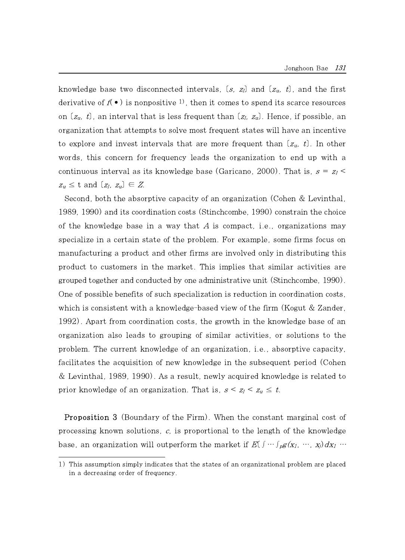knowledge base two disconnected intervals,  $(s, z<sub>l</sub>)$  and  $(z<sub>u</sub>, t)$ , and the first derivative of  $f(\bullet)$  is nonpositive <sup>1</sup>, then it comes to spend its scarce resources on  $(z_u, t)$ , an interval that is less frequent than  $(z_l, z_u)$ . Hence, if possible, an organization that attempts to solve most frequent states will have an incentive to explore and invest intervals that are more frequent than  $(z_u, t)$ . In other words, this concern for frequency leads the organization to end up with a continuous interval as its knowledge base (Garicano, 2000). That is,  $s = z_l$  $z_u \leq t$  and  $(z_l, z_u) \in Z$ .

Second, both the absorptive capacity of an organization (Cohen & Levinthal, 1989, 1990) and its coordination costs (Stinchcombe, 1990) constrain the choice of the knowledge base in a way that  $A$  is compact, i.e., organizations may specialize in a certain state of the problem. For example, some firms focus on manufacturing a product and other firms are involved only in distributing this product to customers in the market. This implies that similar activities are grouped together and conducted by one administrative unit (Stinchcombe, 1990). One of possible benefits of such specialization is reduction in coordination costs, which is consistent with a knowledge-based view of the firm (Kogut  $&$  Zander, 1992). Apart from coordination costs, the growth in the knowledge base of an organization also leads to grouping of similar activities, or solutions to the problem. The current knowledge of an organization, i.e., absorptive capacity, facilitates the acquisition of new knowledge in the subsequent period (Cohen & Levinthal, 1989, 1990). As a result, newly acquired knowledge is related to prior knowledge of an organization. That is,  $s \leq z_l \leq z_u \leq t$ .

Proposition 3 (Boundary of the Firm). When the constant marginal cost of processing known solutions,  $c$ , is proportional to the length of the knowledge base, an organization will outperform the market if  $E[\int \cdots \int_{p} g(x_1, \cdots, x_j) dx_1 \cdots$ 

<sup>1)</sup> This assumption simply indicates that the states of an organizational problem are placed in a decreasing order of frequency.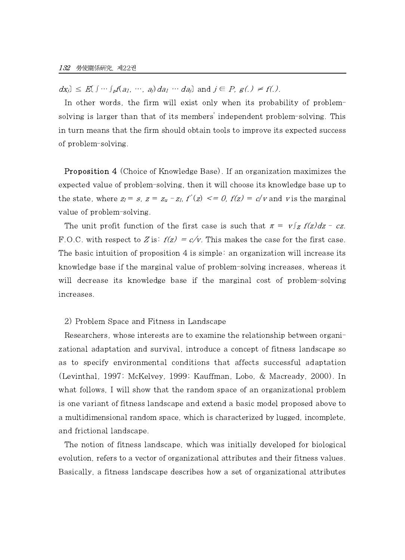$dx_j$ ]  $\leq E[f \cdots \int_p f(a_1, \cdots, a_j) da_1 \cdots da_j]$  and  $j \in P$ ,  $g(.) \neq f(.)$ .

In other words, the firm will exist only when its probability of problemsolving is larger than that of its members' independent problem-solving. This in turn means that the firm should obtain tools to improve its expected success of problem-solving.

Proposition 4 (Choice of Knowledge Base). If an organization maximizes the expected value of problem-solving, then it will choose its knowledge base up to the state, where  $z_1 = s$ ,  $z = z_u - z_l$ ,  $f'(z) \leq 0$ ,  $f(z) = c/v$  and v is the marginal value of problem-solving.

The unit profit function of the first case is such that  $\pi = v \int_{\mathbf{Z}} f(z) dz - cz$ . F.O.C. with respect to Z is:  $f(z) = c/v$ . This makes the case for the first case. The basic intuition of proposition  $4$  is simple: an organization will increase its knowledge base if the marginal value of problem-solving increases, whereas it will decrease its knowledge base if the marginal cost of problem-solving increases.

#### 2) Problem Space and Fitness in Landscape

Researchers, whose interests are to examine the relationship between organizational adaptation and survival, introduce a concept of fitness landscape so as to specify environmental conditions that affects successful adaptation (Levinthal, 1997; McKelvey, 1999; Kauffman, Lobo, & Macready, 2000). In what follows, I will show that the random space of an organizational problem is one variant of fitness landscape and extend a basic model proposed above to a multidimensional random space, which is characterized by lugged, incomplete, and frictional landscape.

The notion of fitness landscape, which was initially developed for biological evolution, refers to a vector of organizational attributes and their fitness values. Basically, a fitness landscape describes how a set of organizational attributes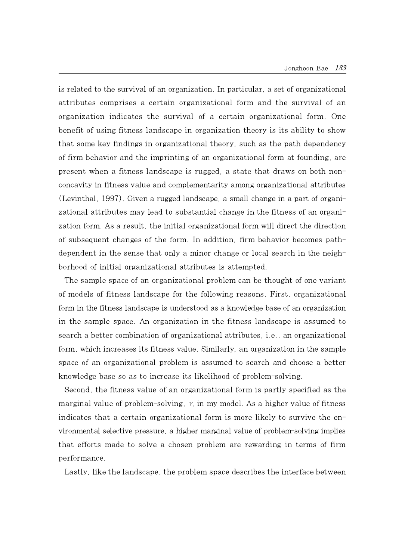is related to the survival of an organization. In particular, a set of organizational attributes comprises a certain organizational form and the survival of an organization indicates the survival of a certain organizational form. One benefit of using fitness landscape in organization theory is its ability to show that some key findings in organizational theory, such as the path dependency of firm behavior and the imprinting of an organizational form at founding, are present when a fitness landscape is rugged, a state that draws on both nonconcavity in fitness value and complementarity among organizational attributes (Levinthal, 1997). Given a rugged landscape, a small change in a part of organizational attributes may lead to substantial change in the fitness of an organization form. As a result, the initial organizational form will direct the direction of subsequent changes of the form. In addition, firm behavior becomes pathdependent in the sense that only a minor change or local search in the neighborhood of initial organizational attributes is attempted.

The sample space of an organizational problem canbe thought of one variant of models of fitness landscape for the following reasons. First, organizational form in the fitness landscape is understood as a knowledge base of an organization in the sample space. An organization in the fitness landscape is assumed to search a better combination of organizational attributes, i.e., an organizational form, which increases its fitness value. Similarly, an organization in the sample space of an organizational problem is assumed to search and choose a better knowledge base so as to increase its likelihood of problem-solving.

Second, the fitness value of an organizational form is partly specified as the marginal value of problem-solving,  $v$ , in my model. As a higher value of fitness indicates that a certain organizational form is more likely to survive the environmental selective pressure, a higher marginal value of problem-solving implies that efforts made to solve a chosen problem are rewarding in terms of firm performance.

Lastly, like the landscape, the problem space describes the interface between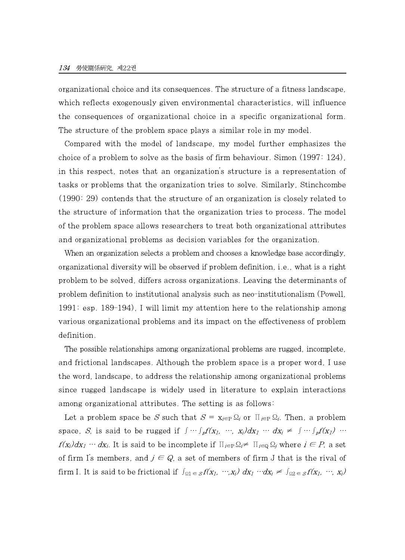organizational choice and its consequences. The structure of a fitness landscape, which reflects exogenously given environmental characteristics, will influence the consequences of organizational choice in a specific organizational form. The structure of the problem space plays a similar role in my model.

Compared with the model of landscape, my model further emphasizes the choice of a problem to solve as the basis of firm behaviour. Simon  $(1997: 124)$ , in this respect, notes that an organization's structure is a representation of tasks or problems that the organization tries to solve. Similarly, Stinchcombe (1990: 29) contends that the structure of an organization is closely related to the structure of information that the organization tries to process. The model of the problem space allows researchers to treat both organizational attributes and organizational problems as decision variables for the organization.

When an organization selects a problem and chooses a knowledge base accordingly, organizational diversity will be observed if problem definition, i.e., what is a right problem to be solved, differs across organizations. Leaving the determinants of problem definition to institutional analysis such as neo-institutionalism (Powell, 1991: esp. 189-194), I will limit my attention here to the relationship among various organizational problems and its impact on the effectiveness of problem definition.

The possible relationships among organizational problems are rugged, incomplete, and frictional landscapes. Although the problem space is a proper word, I use the word, landscape, to address the relationship among organizational problems since rugged landscape is widely used in literature to explain interactions among organizational attributes. The setting is as follows:

Let a problem space be S such that  $S = x_{i\in P} \Omega_i$  or  $\prod_{i\in P} \Omega_i$ . Then, a problem space, S, is said to be rugged if  $\int \cdots \int_p f(x_1, \cdots, x_i) dx_1 \cdots dx_i \neq \int \cdots \int_p f(x_1) \cdots$  $f(x_i)dx_1 \cdots dx_i$ . It is said to be incomplete if  $\prod_{i\in \mathcal{P}} \Omega_i \neq \prod_{i\in \mathcal{Q}} \Omega_i$  where  $i \in P$ , a set of firm I's members, and  $j \in Q$ , a set of members of firm J that is the rival of firm I. It is said to be frictional if  $\int_{\Omega_1} \epsilon_s f(x_1, \cdots, x_i) dx_1 \cdots dx_i \neq \int_{\Omega_2} \epsilon_s f(x_1, \cdots, x_i) dx_i$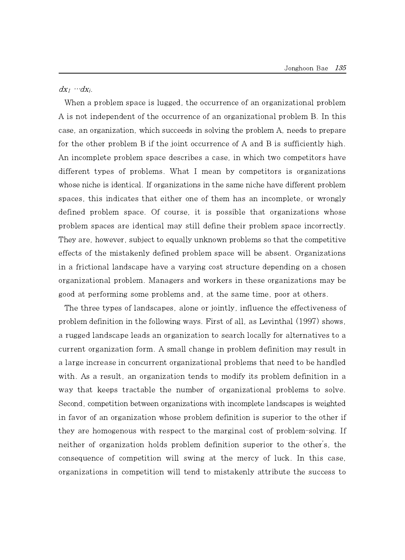$dx_1 \cdots dx_i$ .

When a problem space is lugged, the occurrence of an organizational problem A is not independent of the occurrence of an organizational problem B. In this case, an organization, which succeeds in solving the problem A, needs to prepare for the other problem B if the joint occurrence of A and B is sufficiently high. An incomplete problem space describes a case, in which two competitors have different types of problems. What I mean by competitors is organizations whose niche is identical. If organizations in the same niche have different problem spaces, this indicates that either one of them has an incomplete, or wrongly defined problem space. Of course, it is possible that organizations whose problem spaces are identical may still define their problem space incorrectly. They are, however, subject to equally unknown problems so that the competitive effects of the mistakenly defined problem space will be absent. Organizations in a frictional landscape have a varying cost structure depending on a chosen organizational problem. Managers and workers in these organizations may be good at performing some problems and, at the same time, poor at others.

The three types of landscapes, alone or jointly, influence the effectiveness of problem definition in the following ways. First of all, as Levinthal (1997) shows, a rugged landscape leads an organization to search locally for alternatives to a current organization form. A small change in problem definition may result in a large increase in concurrent organizational problems that need to be handled with. As a result, an organization tends to modify its problem definition in a way that keeps tractable the number of organizational problems to solve. Second, competition between organizations with incomplete landscapes is weighted in favor of an organization whose problem definition is superior to the other if they are homogenous with respect to the marginal cost of problem-solving. If neither of organization holds problem definition superior to the other's, the consequence of competition willswing at the mercy of luck. In this case, organizations in competition will tend to mistakenly attribute the success to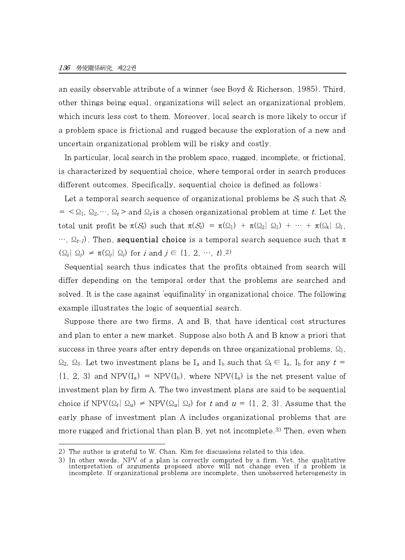an easily observable attribute of a winner (see Boyd & Richerson, 1985). Third, other things being equal, organizations will select an organizational problem, which incurs less cost to them. Moreover, local search is more likely to occur if a problem space is frictional and rugged because the exploration of a new and uncertain organizational problem will be risky and costly.

In particular, local search in the problem space, rugged, incomplete, or frictional, is characterized by sequential choice, where temporal order in search produces different outcomes. Specifically, sequential choice is defined as follows:

Let a temporal search sequence of organizational problems be  $S_t$  such that  $S_t$  $= \langle \Omega_1, \Omega_2, \cdots, \Omega_t \rangle$  and  $\Omega_t$  is a chosen organizational problem at time t. Let the total unit profit be  $\pi(S_t)$  such that  $\pi(S_t) = \pi(\Omega_1) + \pi(\Omega_2 | \Omega_1) + \cdots + \pi(\Omega_t | \Omega_1)$  $..., \Omega_{t-1}$ ). Then, **sequential choice** is a temporal search sequence such that π  $(\Omega_i|\Omega_i) \neq \pi(\Omega_i|\Omega_i)$  for i and  $j \in \{1, 2, \cdots, t\}$ .

Sequential search thus indicates that the profits obtained from search will differ depending on the temporal order that the problems are searched and solved. It is the case against 'equifinality' in organizational choice. The following example illustrates the logic of sequential search.

Suppose there are two firms, A and B, that have identical cost structures and plan to enter a new market. Suppose also both A and B know a priori that success in three years after entry depends on three organizational problems,  $\Omega_1$ ,  $\Omega_2$ ,  $\Omega_3$ . Let two investment plans be I<sub>a</sub> and I<sub>b</sub> such that  $\Omega_t \in I_a$ , I<sub>b</sub> for any  $t =$  ${1, 2, 3}$  and NPV(I<sub>a</sub>) = NPV(I<sub>b</sub>), where NPV(I<sub>a</sub>) is the net present value of investment plan by firm A. The two investment plans are said to be sequential choice if NPV $(Q_t | Q_u) \neq \text{NPV}(Q_u | Q_t)$  for t and  $u = \{1, 2, 3\}$ . Assume that the early phase of investment plan A includes organizational problems that are more rugged and frictional than plan B, yet not incomplete.<sup>3)</sup> Then, even when

<sup>2)</sup> The author is grateful to W. Chan. Kim for discussions related to this idea.

<sup>3)</sup> In other words, NPV of <sup>a</sup> plan is correctly computed by <sup>a</sup> firm. Yet, the qualitative interpretation of arguments proposed above will not change even if <sup>a</sup> problem is incomplete. If organizational problems are incomplete, then unobserved heterogeneity in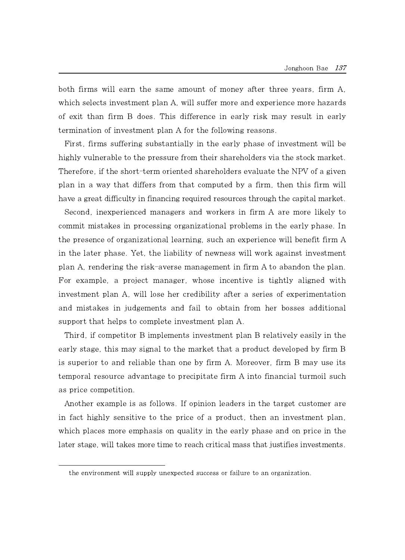both firms will earn the same amount of money after three years, firm A, which selects investment plan A, will suffer more and experience more hazards of exit than firm Bdoes. This difference in early risk may result in early termination of investment plan A for the following reasons.

First, firms suffering substantially in the early phase of investment will be highly vulnerable to the pressure from their shareholders via the stock market. Therefore, if the short-term oriented shareholders evaluate the NPV of a given plan in a way that differs from that computed by a firm, then this firm will have a great difficulty in financing required resources through the capital market.

Second, inexperienced managers and workers in firm A are more likely to commit mistakes in processing organizational problems in the early phase. In the presence of organizational learning, such an experience will benefit firm A in the later phase. Yet, the liability of newness will work against investment plan A, rendering the risk-averse management in firm A to abandon the plan. For example, a project manager, whose incentive is tightly aligned with investment plan A, will lose her credibility after a series of experimentation and mistakes in judgements and fail to obtain from her bosses additional support that helps to complete investment plan A.

Third, if competitor B implements investment plan B relatively easily in the early stage, this may signal to the market that a product developed by firm B is superior to and reliable than one by firm A. Moreover, firm Bmay use its temporal resource advantage to precipitate firm A into financial turmoil such as price competition.

Another example is as follows. If opinion leaders in the target customer are in fact highly sensitive to the price of a product, then an investment plan, which places more emphasis on quality in the early phase and on price in the later stage, will takes more time to reach critical mass that justifies investments.

the environment will supply unexpected success or failure to an organization.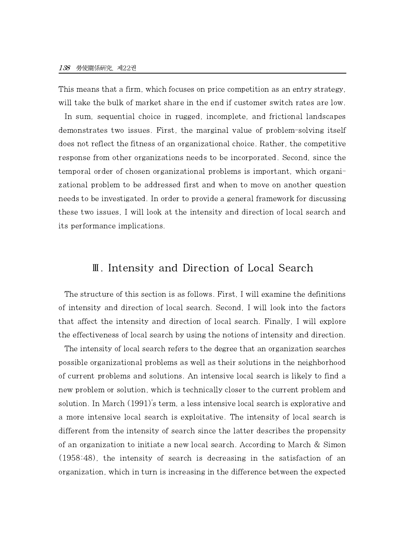This means that a firm, which focuses on price competition as an entry strategy, will take the bulk of market share in the end if customer switch rates are low. In sum, sequential choice in rugged, incomplete, and frictional landscapes demonstrates two issues. First, the marginal value of problem-solving itself does not reflect the fitness of an organizational choice. Rather, the competitive response from other organizations needs to be incorporated. Second, since the temporal order of chosen organizational problems is important, which organizational problem to be addressed first and when to move on another question needs to be investigated. In order to provide a general framework for discussing these two issues, I will look at the intensity and direction of local search and its performance implications.

### Ⅲ. Intensity and Direction of Local Search

The structure of this section is as follows. First, I will examine the definitions of intensity and direction of local search. Second, I will look into the factors that affect the intensity and direction of local search. Finally, I will explore the effectiveness of local search by using the notions of intensity and direction.

The intensity of local search refers to the degree that an organization searches possible organizational problems as well as their solutions in the neighborhood of current problems and solutions. An intensive local search is likely to find a new problem or solution, which is technically closer to the current problem and solution. In March (1991)'s term, a less intensive local search is explorative and a more intensive local search is exploitative. The intensity of local search is different from the intensity of search since the latter describes the propensity of an organization to initiate a new local search. According to March & Simon (1958:48), the intensity of search is decreasing in the satisfaction of an organization, which in turn isincreasing in the difference between the expected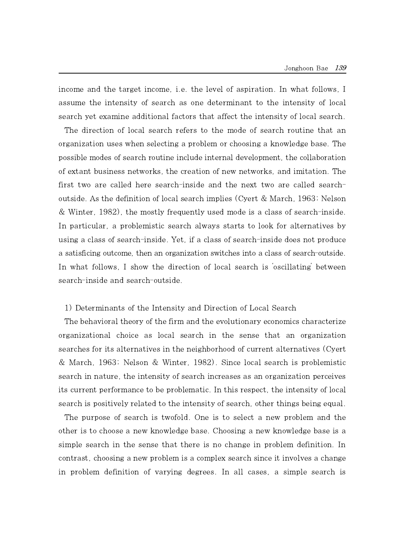income and the target income, i.e. the level of aspiration. In what follows, I assume the intensity of search as one determinant to the intensity of local search yet examine additional factors that affect the intensity of local search.

The direction of local search refers to the mode of search routine that an organization uses when selecting a problem or choosing a knowledge base. The possible modes of search routine include internal development, the collaboration of extant business networks, the creation of new networks, and imitation. The first two are called here search-inside and the next two are called searchoutside. As the definition of local search implies (Cyert & March, 1963; Nelson & Winter, 1982), the mostly frequently used mode is a class of search-inside. In particular, a problemistic search always starts to look for alternatives by using a class of search-inside. Yet, if a class of search-inside does not produce a satisficing outcome, then an organization switches into a class of search-outside. In what follows, I show the direction of local search is 'oscillating' between search-inside and search-outside.

#### 1) Determinants of the Intensity and Direction of Local Search

The behavioral theory of the firm and the evolutionary economics characterize organizational choice as local search in the sense that an organization searches for its alternatives in the neighborhood of current alternatives (Cyert & March, 1963; Nelson & Winter, 1982). Since local search is problemistic search in nature, the intensity of search increases as an organization perceives its current performance to be problematic. In this respect, the intensity of local search is positively related to the intensity of search, other things being equal.

The purpose of search is twofold. One is to select a new problem and the other is to choose a new knowledge base. Choosing a new knowledge base is a simple search in the sense that there is no change in problem definition. In contrast, choosing a new problem is a complex search since it involves a change in problem definition of varying degrees. In all cases, a simple search is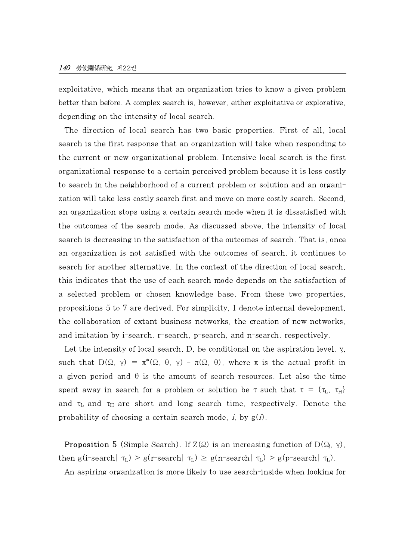exploitative, which means that an organization tries to know a given problem better than before. A complex search is, however, either exploitative or explorative, depending on the intensity of local search.

The direction of local search has two basic properties. First of all, local search is the first response that an organization will take when responding to the current or new organizational problem. Intensive local search is the first organizational response to a certain perceived problem because it is less costly to search in the neighborhood of a current problem or solution and an organization will take less costly search first and move on more costly search. Second, an organization stops using a certain search mode when it is dissatisfied with the outcomes of the search mode. As discussed above, the intensity of local search is decreasing in the satisfaction of the outcomes of search. That is, once an organization is not satisfied with the outcomes of search, it continues to search for another alternative. In the context of the direction of local search, this indicates that the use of each search mode depends on the satisfaction of a selected problem or chosen knowledge base. From these two properties, propositions 5 to 7 are derived. For simplicity, I denote internal development, the collaboration of extant business networks, the creation of new networks, and imitation by i-search, r-search, p-search, and n-search, respectively.

Let the intensity of local search, D, be conditional on the aspiration level, γ, such that  $D(\Omega, \gamma) = \pi^*(\Omega, \theta, \gamma) - \pi(\Omega, \theta)$ , where  $\pi$  is the actual profit in a given period and  $\theta$  is the amount of search resources. Let also the time spent away in search for a problem or solution be  $\tau$  such that  $\tau = \{\tau_L, \tau_H\}$ and  $\tau_L$  and  $\tau_H$  are short and long search time, respectively. Denote the probability of choosing a certain search mode, i, by  $g(i)$ .

**Proposition 5** (Simple Search). If  $Z(\Omega)$  is an increasing function of  $D(\Omega_j, \gamma)$ , then g(i-search $|\tau_L| > g(r$ -search $|\tau_L| \geq g(n$ -search $|\tau_L| > g(p$ -search $|\tau_L|$ ). An aspiring organization is more likely to use search-inside when looking for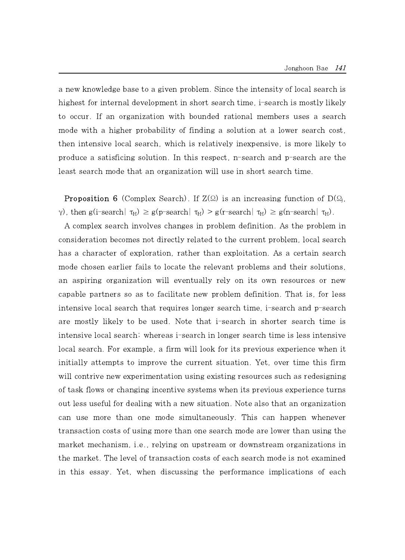a new knowledge base to a given problem. Since the intensity of local search is highest for internal development in short search time, i-search is mostly likely to occur. If an organization with bounded rational members uses a search mode with a higher probability of finding a solution at a lower search cost, then intensive local search, which is relatively inexpensive, is more likely to produce a satisficing solution. In this respect, n-search and p-search are the least search mode that an organization will use in short search time.

**Proposition 6** (Complex Search). If  $Z(\Omega)$  is an increasing function of D( $\Omega_i$ ), γ), then g(i-search|  $τ_H$ )  $\ge$  g(p-search|  $τ_H$ )  $\ge$  g(r-search|  $τ_H$ )  $\ge$  g(n-search|  $τ_H$ ).

A complex search involves changes in problem definition. As the problem in consideration becomes not directly related to the current problem, local search has a character of exploration, rather than exploitation. As a certain search mode chosen earlier fails to locate the relevant problems and their solutions, an aspiring organization willeventually rely on its own resources or new capable partners so as to facilitate new problem definition. That is, for less intensive local search that requires longer search time, i-search and p-search are mostly likely to be used. Note that i-search in shorter search time is intensive local search; whereas i-search in longer search time is less intensive local search. For example, a firm will look for its previous experience when it initially attempts to improve the current situation. Yet, over time this firm will contrive new experimentation using existing resources such as redesigning of task flows or changing incentive systems when its previous experience turns out less useful for dealing with a new situation. Note also that an organization can use more than one mode simultaneously. This can happen whenever transaction costs of using more than one search mode are lower than using the market mechanism, i.e., relying on upstream or downstream organizations in the market. The level of transaction costs of each search mode is not examined in this essay. Yet, when discussing the performance implications of each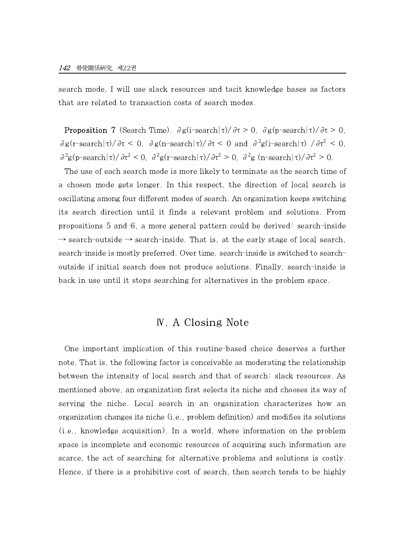search mode, I will use slack resources and tacit knowledge bases as factors that are related to transaction costs of search modes.

**Proposition 7** (Search Time).  $\partial g(i\text{-search}|\tau)/\partial \tau > 0$ ,  $\partial g(p\text{-search}|\tau)/\partial \tau > 0$ ,  $\partial g(r\text{-search}|\tau)/\partial \tau \leq 0$ ,  $\partial g(r\text{-search}|\tau)/\partial \tau \leq 0$  and  $\partial^2 g(r\text{-search}|\tau)/\partial \tau^2 \leq 0$ ,  $\frac{\partial^2 g(p\text{-search}|\tau)}{\partial \tau^2}$  < 0,  $\frac{\partial^2 g(r\text{-search}|\tau)}{\partial \tau^2}$  > 0,  $\frac{\partial^2 g(n\text{-search}|\tau)}{\partial \tau^2}$  > 0.

The use of each search mode is more likely to terminate as the search time of a chosen mode gets longer. In this respect, the direction of local search is oscillating among four different modes of search. An organization keeps switching its search direction until it finds a relevant problem and solutions. From propositions 5 and 6, a more general pattern could be derived: search-inside  $\rightarrow$  search-outside  $\rightarrow$  search-inside. That is, at the early stage of local search, search-inside is mostly preferred. Over time, search-inside is switched to searchoutside if initial search does not produce solutions. Finally, search-inside is back in use until it stops searching for alternatives in the problem space.

## Ⅳ. A Closing Note

One important implication of this routine-based choice deserves a further note. That is, the following factor is conceivable as moderating the relationship between the intensity of local search and that of search: slack resources. As mentioned above, an organization first selects its niche and chooses its way of serving the niche. Local search in an organization characterizes how an organization changes its niche (i.e., problem definition) and modifies its solutions (i.e., knowledge acquisition). In a world, where information on the problem space is incomplete and economic resources of acquiring such information are scarce, the act of searching for alternative problems and solutions is costly. Hence, if there is a prohibitive cost of search, then search tends to be highly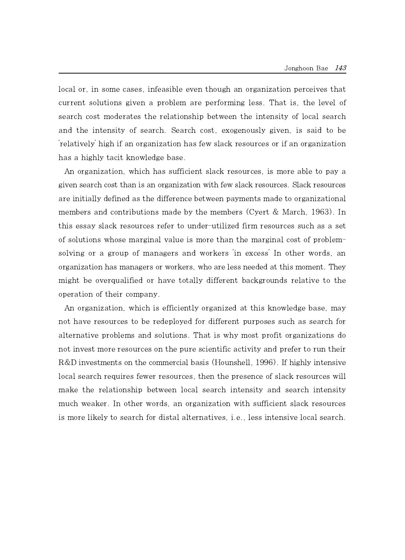local or, in some cases, infeasible even though an organization perceives that current solutions given a problem are performing less. That is, the level of search cost moderates the relationship between the intensity of local search and the intensity of search. Search cost, exogenously given, is said to be 'relatively' high if an organization has few slack resources or if an organization has a highly tacit knowledge base.

An organization, which has sufficient slack resources, is more able to pay a given search cost than isan organization with few slack resources. Slack resources are initially defined as the difference between payments made to organizational members and contributions made by the members (Cyert & March, 1963). In this essay slack resources refer to under-utilized firm resources such as a set of solutions whose marginal value is more than the marginal cost of problemsolving or a group of managers and workers 'in excess' In other words, an organization has managers or workers, who are less needed at this moment. They might be overqualified or have totally different backgrounds relative to the operation of their company.

An organization, which is efficiently organized at this knowledge base, may not have resources to be redeployed for different purposes such as search for alternative problems and solutions. That is why most profit organizations do not invest more resources on the pure scientific activity and prefer to run their R&D investments on the commercial basis (Hounshell, 1996). If highly intensive local search requires fewer resources, then the presence of slack resources will make the relationship between local search intensity and search intensity much weaker. In other words, an organization with sufficient slack resources is more likely to search for distal alternatives, i.e., less intensive local search.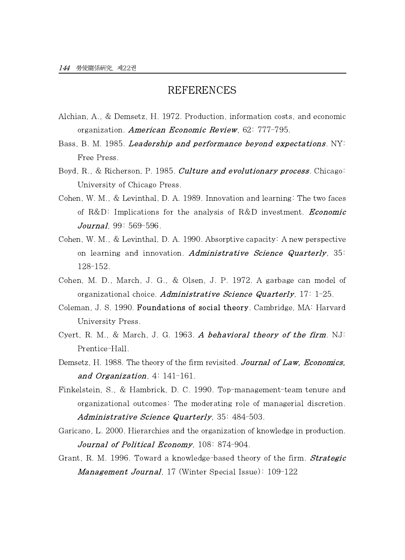### REFERENCES

- Alchian, A., & Demsetz, H. 1972. Production, information costs, and economic organization. American Economic Review, 62: 777-795.
- Bass, B. M. 1985. *Leadership and performance beyond expectations*.  $NY^{\dagger}$ Free Press.
- Boyd, R., & Richerson, P. 1985. *Culture and evolutionary process*. Chicago: University of Chicago Press.
- Cohen, W. M., & Levinthal, D. A. 1989. Innovation and learning: The two faces of  $R&D$ : Implications for the analysis of  $R&D$  investment. *Economic* Journal, 99: 569-596.
- Cohen, W. M., & Levinthal, D. A. 1990. Absorptive capacity: A new perspective on learning and innovation. Administrative Science Quarterly,  $35<sup>2</sup>$ 128-152.
- Cohen, M. D., March, J. G., & Olsen, J. P. 1972. A garbage can model of organizational choice. Administrative Science Quarterly,  $17: 1-25$ .
- Coleman, J. S. 1990. Foundations of social theory. Cambridge, MA: Harvard University Press.
- Cyert, R. M., & March, J. G. 1963. A behavioral theory of the firm. NJ: Prentice-Hall.
- Demsetz, H. 1988. The theory of the firm revisited. Journal of Law, Economics, and Organization, 4: 141-161.
- Finkelstein, S., & Hambrick, D. C. 1990. Top-management-team tenure and organizational outcomes: The moderating role of managerial discretion. Administrative Science Quarterly, 35: 484-503.
- Garicano, L. 2000. Hierarchies and the organization of knowledge in production. Journal of Political Economy, 108: 874-904.
- Grant, R. M. 1996. Toward a knowledge-based theory of the firm. **Strategic** Management Journal, 17 (Winter Special Issue): 109-122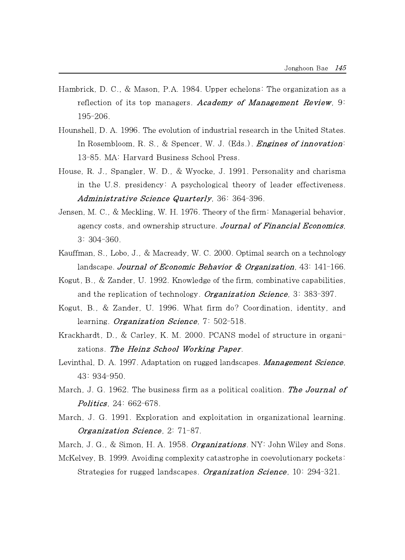- Hambrick, D. C., & Mason, P.A. 1984. Upper echelons: The organization as a reflection of its top managers. Academy of Management Review,  $9<sup>2</sup>$ 195-206.
- Hounshell, D. A. 1996. The evolution of industrial research in the United States. In Rosembloom, R. S., & Spencer, W. J. (Eds.). *Engines of innovation*: 13-85. MA: Harvard Business School Press.
- House, R. J., Spangler, W. D., & Wyocke, J. 1991. Personality and charisma in the U.S. presidency: A psychological theory of leader effectiveness. Administrative Science Quarterly, 36: 364-396.
- Jensen, M. C., & Meckling, W. H. 1976. Theory of the firm: Managerial behavior, agency costs, and ownership structure. Journal of Financial Economics, 3: 304-360.
- Kauffman, S., Lobo, J., & Macready, W. C. 2000. Optimal search on a technology landscape. Journal of Economic Behavior & Organization,  $43:141-166$ .
- Kogut, B., & Zander, U. 1992. Knowledge of the firm, combinative capabilities, and the replication of technology. *Organization Science*,  $3: 383-397$ .
- Kogut, B., & Zander, U. 1996. What firm do? Coordination, identity, and learning. *Organization Science*,  $7:502-518$ .
- Krackhardt, D., & Carley, K. M. 2000. PCANS model of structure in organizations. The Heinz School Working Paper.
- Levinthal, D. A. 1997. Adaptation on rugged landscapes. Management Science, 43: 934-950.
- March, J. G. 1962. The business firm as a political coalition. The Journal of Politics, 24: 662-678.
- March, J. G. 1991. Exploration and exploitation in organizational learning. Organization Science, 2: 71-87.

March, J. G., & Simon, H. A. 1958. Organizations. NY: John Wiley and Sons.

McKelvey, B. 1999. Avoiding complexity catastrophe in coevolutionary pockets:

Strategies for rugged landscapes. Organization Science, 10: 294-321.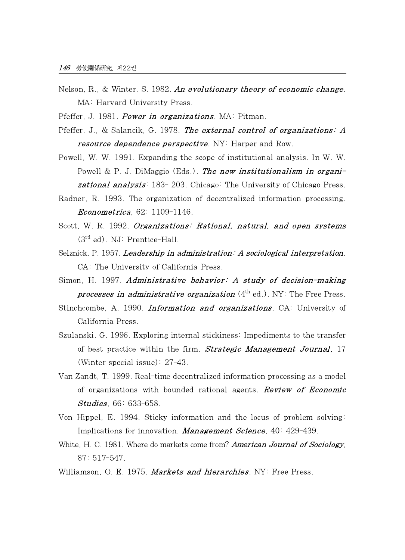- Nelson, R., & Winter, S. 1982. An evolutionary theory of economic change. MA: Harvard University Press.
- Pfeffer, J. 1981. *Power in organizations*. MA: Pitman.
- Pfeffer, J., & Salancik, G. 1978. The external control of organizations: A resource dependence perspective. NY: Harper and Row.
- Powell, W. W. 1991. Expanding the scope of institutional analysis. In W. W. Powell & P. J. DiMaggio (Eds.). The new institutionalism in organi**zational analysis:** 183-203. Chicago: The University of Chicago Press.
- Radner, R. 1993. The organization of decentralized information processing. Econometrica, 62: 1109-1146.
- Scott, W. R. 1992. Organizations: Rational, natural, and open systems (3rd ed). NJ: Prentice-Hall.
- Selznick, P. 1957. Leadership in administration: A sociological interpretation. CA: The University of California Press.
- Simon, H. 1997. Administrative behavior: A study of decision-making *processes in administrative organization*  $(4<sup>th</sup>$  ed.). NY: The Free Press.
- Stinchcombe, A. 1990. Information and organizations. CA: University of California Press.
- Szulanski, G. 1996. Exploring internal stickiness: Impediments to the transfer of best practice within the firm. **Strategic Management Journal**, 17 (Winter special issue): 27-43.
- Van Zandt, T. 1999. Real-time decentralized information processing as a model of organizations with bounded rational agents. **Review of Economic** Studies, 66: 633-658.
- Von Hippel, E. 1994. Sticky information and the locus of problem solving: Implications for innovation. *Management Science*, 40: 429-439.
- White, H. C. 1981. Where do markets come from? **American Journal of Sociology**, 87: 517-547.
- Williamson, O. E. 1975. Markets and hierarchies. NY: Free Press.